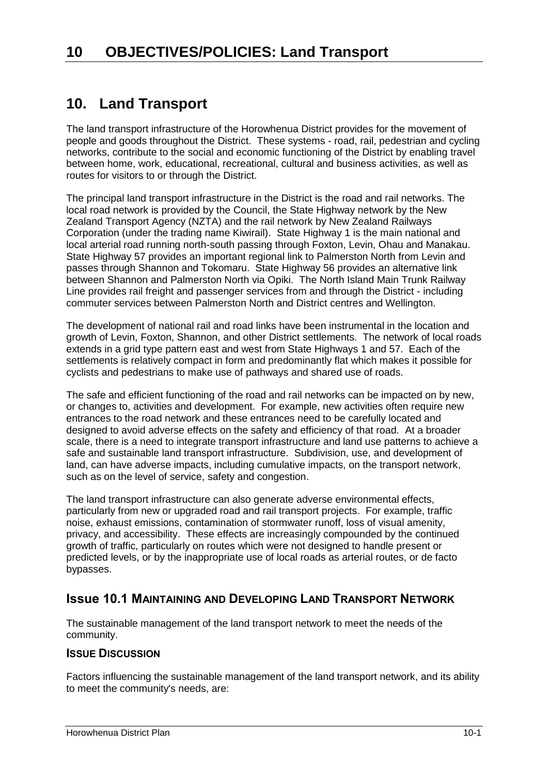## **10. Land Transport**

The land transport infrastructure of the Horowhenua District provides for the movement of people and goods throughout the District. These systems - road, rail, pedestrian and cycling networks, contribute to the social and economic functioning of the District by enabling travel between home, work, educational, recreational, cultural and business activities, as well as routes for visitors to or through the District.

The principal land transport infrastructure in the District is the road and rail networks. The local road network is provided by the Council, the State Highway network by the New Zealand Transport Agency (NZTA) and the rail network by New Zealand Railways Corporation (under the trading name Kiwirail). State Highway 1 is the main national and local arterial road running north-south passing through Foxton, Levin, Ohau and Manakau. State Highway 57 provides an important regional link to Palmerston North from Levin and passes through Shannon and Tokomaru. State Highway 56 provides an alternative link between Shannon and Palmerston North via Opiki. The North Island Main Trunk Railway Line provides rail freight and passenger services from and through the District - including commuter services between Palmerston North and District centres and Wellington.

The development of national rail and road links have been instrumental in the location and growth of Levin, Foxton, Shannon, and other District settlements. The network of local roads extends in a grid type pattern east and west from State Highways 1 and 57. Each of the settlements is relatively compact in form and predominantly flat which makes it possible for cyclists and pedestrians to make use of pathways and shared use of roads.

The safe and efficient functioning of the road and rail networks can be impacted on by new, or changes to, activities and development. For example, new activities often require new entrances to the road network and these entrances need to be carefully located and designed to avoid adverse effects on the safety and efficiency of that road. At a broader scale, there is a need to integrate transport infrastructure and land use patterns to achieve a safe and sustainable land transport infrastructure. Subdivision, use, and development of land, can have adverse impacts, including cumulative impacts, on the transport network, such as on the level of service, safety and congestion.

The land transport infrastructure can also generate adverse environmental effects, particularly from new or upgraded road and rail transport projects. For example, traffic noise, exhaust emissions, contamination of stormwater runoff, loss of visual amenity, privacy, and accessibility. These effects are increasingly compounded by the continued growth of traffic, particularly on routes which were not designed to handle present or predicted levels, or by the inappropriate use of local roads as arterial routes, or de facto bypasses.

## **Issue 10.1 MAINTAINING AND DEVELOPING LAND TRANSPORT NETWORK**

The sustainable management of the land transport network to meet the needs of the community.

#### **ISSUE DISCUSSION**

Factors influencing the sustainable management of the land transport network, and its ability to meet the community's needs, are: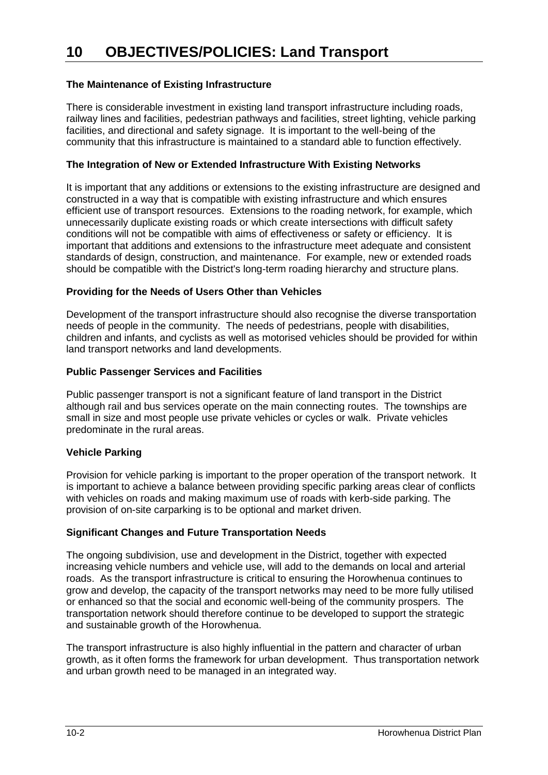#### **The Maintenance of Existing Infrastructure**

There is considerable investment in existing land transport infrastructure including roads, railway lines and facilities, pedestrian pathways and facilities, street lighting, vehicle parking facilities, and directional and safety signage. It is important to the well-being of the community that this infrastructure is maintained to a standard able to function effectively.

#### **The Integration of New or Extended Infrastructure With Existing Networks**

It is important that any additions or extensions to the existing infrastructure are designed and constructed in a way that is compatible with existing infrastructure and which ensures efficient use of transport resources. Extensions to the roading network, for example, which unnecessarily duplicate existing roads or which create intersections with difficult safety conditions will not be compatible with aims of effectiveness or safety or efficiency. It is important that additions and extensions to the infrastructure meet adequate and consistent standards of design, construction, and maintenance. For example, new or extended roads should be compatible with the District's long-term roading hierarchy and structure plans.

#### **Providing for the Needs of Users Other than Vehicles**

Development of the transport infrastructure should also recognise the diverse transportation needs of people in the community. The needs of pedestrians, people with disabilities, children and infants, and cyclists as well as motorised vehicles should be provided for within land transport networks and land developments.

#### **Public Passenger Services and Facilities**

Public passenger transport is not a significant feature of land transport in the District although rail and bus services operate on the main connecting routes. The townships are small in size and most people use private vehicles or cycles or walk. Private vehicles predominate in the rural areas.

#### **Vehicle Parking**

Provision for vehicle parking is important to the proper operation of the transport network. It is important to achieve a balance between providing specific parking areas clear of conflicts with vehicles on roads and making maximum use of roads with kerb-side parking. The provision of on-site carparking is to be optional and market driven.

#### **Significant Changes and Future Transportation Needs**

The ongoing subdivision, use and development in the District, together with expected increasing vehicle numbers and vehicle use, will add to the demands on local and arterial roads. As the transport infrastructure is critical to ensuring the Horowhenua continues to grow and develop, the capacity of the transport networks may need to be more fully utilised or enhanced so that the social and economic well-being of the community prospers. The transportation network should therefore continue to be developed to support the strategic and sustainable growth of the Horowhenua.

The transport infrastructure is also highly influential in the pattern and character of urban growth, as it often forms the framework for urban development. Thus transportation network and urban growth need to be managed in an integrated way.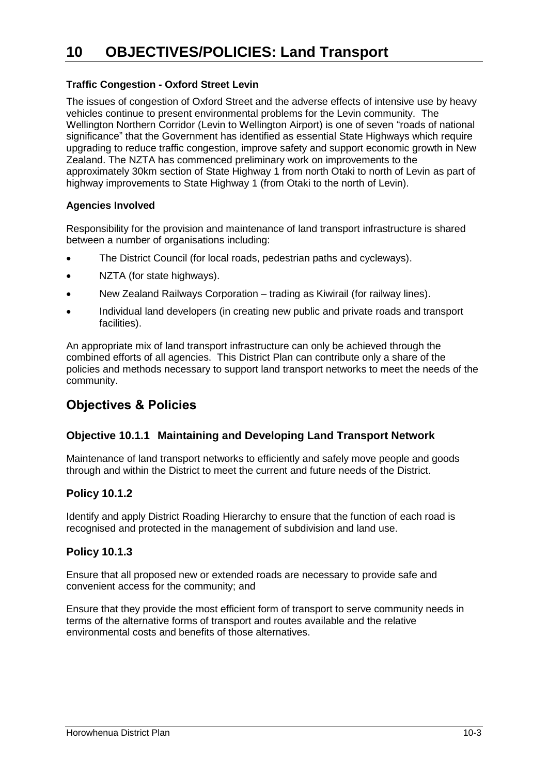#### **Traffic Congestion - Oxford Street Levin**

The issues of congestion of Oxford Street and the adverse effects of intensive use by heavy vehicles continue to present environmental problems for the Levin community. The Wellington Northern Corridor (Levin to Wellington Airport) is one of seven "roads of national significance" that the Government has identified as essential State Highways which require upgrading to reduce traffic congestion, improve safety and support economic growth in New Zealand. The NZTA has commenced preliminary work on improvements to the approximately 30km section of State Highway 1 from north Otaki to north of Levin as part of highway improvements to State Highway 1 (from Otaki to the north of Levin).

#### **Agencies Involved**

Responsibility for the provision and maintenance of land transport infrastructure is shared between a number of organisations including:

- The District Council (for local roads, pedestrian paths and cycleways).
- NZTA (for state highways).
- New Zealand Railways Corporation trading as Kiwirail (for railway lines).
- Individual land developers (in creating new public and private roads and transport facilities).

An appropriate mix of land transport infrastructure can only be achieved through the combined efforts of all agencies. This District Plan can contribute only a share of the policies and methods necessary to support land transport networks to meet the needs of the community.

## **Objectives & Policies**

#### **Objective 10.1.1 Maintaining and Developing Land Transport Network**

Maintenance of land transport networks to efficiently and safely move people and goods through and within the District to meet the current and future needs of the District.

#### **Policy 10.1.2**

Identify and apply District Roading Hierarchy to ensure that the function of each road is recognised and protected in the management of subdivision and land use.

#### **Policy 10.1.3**

Ensure that all proposed new or extended roads are necessary to provide safe and convenient access for the community; and

Ensure that they provide the most efficient form of transport to serve community needs in terms of the alternative forms of transport and routes available and the relative environmental costs and benefits of those alternatives.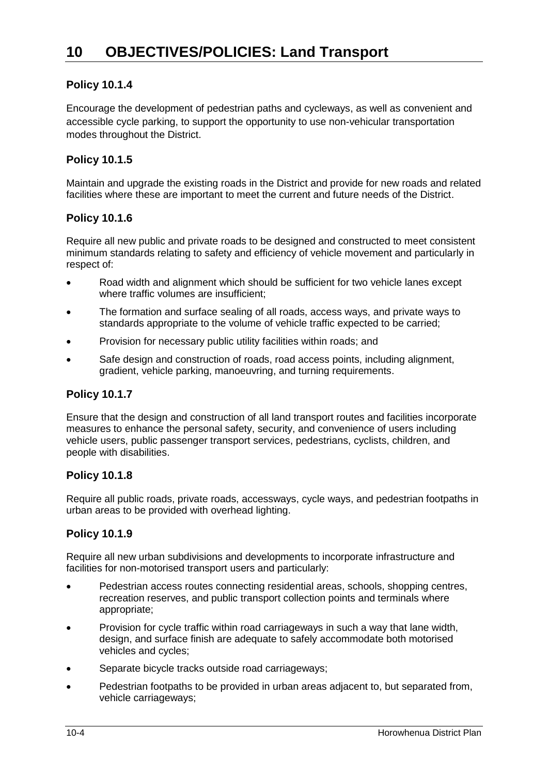#### **Policy 10.1.4**

Encourage the development of pedestrian paths and cycleways, as well as convenient and accessible cycle parking, to support the opportunity to use non-vehicular transportation modes throughout the District.

#### **Policy 10.1.5**

Maintain and upgrade the existing roads in the District and provide for new roads and related facilities where these are important to meet the current and future needs of the District.

#### **Policy 10.1.6**

Require all new public and private roads to be designed and constructed to meet consistent minimum standards relating to safety and efficiency of vehicle movement and particularly in respect of:

- Road width and alignment which should be sufficient for two vehicle lanes except where traffic volumes are insufficient;
- The formation and surface sealing of all roads, access ways, and private ways to standards appropriate to the volume of vehicle traffic expected to be carried;
- Provision for necessary public utility facilities within roads; and
- Safe design and construction of roads, road access points, including alignment, gradient, vehicle parking, manoeuvring, and turning requirements.

#### **Policy 10.1.7**

Ensure that the design and construction of all land transport routes and facilities incorporate measures to enhance the personal safety, security, and convenience of users including vehicle users, public passenger transport services, pedestrians, cyclists, children, and people with disabilities.

#### **Policy 10.1.8**

Require all public roads, private roads, accessways, cycle ways, and pedestrian footpaths in urban areas to be provided with overhead lighting.

#### **Policy 10.1.9**

Require all new urban subdivisions and developments to incorporate infrastructure and facilities for non-motorised transport users and particularly:

- Pedestrian access routes connecting residential areas, schools, shopping centres, recreation reserves, and public transport collection points and terminals where appropriate;
- Provision for cycle traffic within road carriageways in such a way that lane width, design, and surface finish are adequate to safely accommodate both motorised vehicles and cycles;
- Separate bicycle tracks outside road carriageways;
- Pedestrian footpaths to be provided in urban areas adjacent to, but separated from, vehicle carriageways;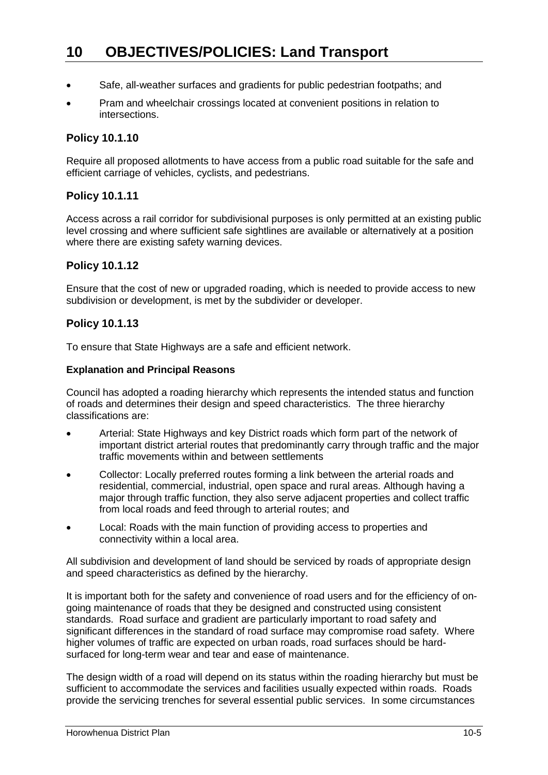- Safe, all-weather surfaces and gradients for public pedestrian footpaths; and
- Pram and wheelchair crossings located at convenient positions in relation to intersections.

#### **Policy 10.1.10**

Require all proposed allotments to have access from a public road suitable for the safe and efficient carriage of vehicles, cyclists, and pedestrians.

#### **Policy 10.1.11**

Access across a rail corridor for subdivisional purposes is only permitted at an existing public level crossing and where sufficient safe sightlines are available or alternatively at a position where there are existing safety warning devices.

#### **Policy 10.1.12**

Ensure that the cost of new or upgraded roading, which is needed to provide access to new subdivision or development, is met by the subdivider or developer.

#### **Policy 10.1.13**

To ensure that State Highways are a safe and efficient network.

#### **Explanation and Principal Reasons**

Council has adopted a roading hierarchy which represents the intended status and function of roads and determines their design and speed characteristics. The three hierarchy classifications are:

- Arterial: State Highways and key District roads which form part of the network of important district arterial routes that predominantly carry through traffic and the major traffic movements within and between settlements
- Collector: Locally preferred routes forming a link between the arterial roads and residential, commercial, industrial, open space and rural areas. Although having a major through traffic function, they also serve adjacent properties and collect traffic from local roads and feed through to arterial routes; and
- Local: Roads with the main function of providing access to properties and connectivity within a local area.

All subdivision and development of land should be serviced by roads of appropriate design and speed characteristics as defined by the hierarchy.

It is important both for the safety and convenience of road users and for the efficiency of ongoing maintenance of roads that they be designed and constructed using consistent standards. Road surface and gradient are particularly important to road safety and significant differences in the standard of road surface may compromise road safety. Where higher volumes of traffic are expected on urban roads, road surfaces should be hardsurfaced for long-term wear and tear and ease of maintenance.

The design width of a road will depend on its status within the roading hierarchy but must be sufficient to accommodate the services and facilities usually expected within roads. Roads provide the servicing trenches for several essential public services. In some circumstances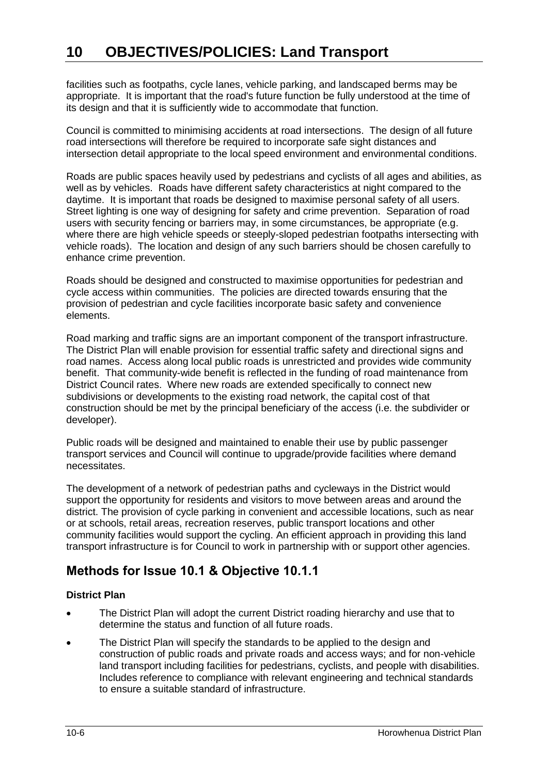facilities such as footpaths, cycle lanes, vehicle parking, and landscaped berms may be appropriate. It is important that the road's future function be fully understood at the time of its design and that it is sufficiently wide to accommodate that function.

Council is committed to minimising accidents at road intersections. The design of all future road intersections will therefore be required to incorporate safe sight distances and intersection detail appropriate to the local speed environment and environmental conditions.

Roads are public spaces heavily used by pedestrians and cyclists of all ages and abilities, as well as by vehicles. Roads have different safety characteristics at night compared to the daytime. It is important that roads be designed to maximise personal safety of all users. Street lighting is one way of designing for safety and crime prevention. Separation of road users with security fencing or barriers may, in some circumstances, be appropriate (e.g. where there are high vehicle speeds or steeply-sloped pedestrian footpaths intersecting with vehicle roads). The location and design of any such barriers should be chosen carefully to enhance crime prevention.

Roads should be designed and constructed to maximise opportunities for pedestrian and cycle access within communities. The policies are directed towards ensuring that the provision of pedestrian and cycle facilities incorporate basic safety and convenience elements.

Road marking and traffic signs are an important component of the transport infrastructure. The District Plan will enable provision for essential traffic safety and directional signs and road names. Access along local public roads is unrestricted and provides wide community benefit. That community-wide benefit is reflected in the funding of road maintenance from District Council rates. Where new roads are extended specifically to connect new subdivisions or developments to the existing road network, the capital cost of that construction should be met by the principal beneficiary of the access (i.e. the subdivider or developer).

Public roads will be designed and maintained to enable their use by public passenger transport services and Council will continue to upgrade/provide facilities where demand necessitates.

The development of a network of pedestrian paths and cycleways in the District would support the opportunity for residents and visitors to move between areas and around the district. The provision of cycle parking in convenient and accessible locations, such as near or at schools, retail areas, recreation reserves, public transport locations and other community facilities would support the cycling. An efficient approach in providing this land transport infrastructure is for Council to work in partnership with or support other agencies.

## **Methods for Issue 10.1 & Objective 10.1.1**

#### **District Plan**

- The District Plan will adopt the current District roading hierarchy and use that to determine the status and function of all future roads.
- The District Plan will specify the standards to be applied to the design and construction of public roads and private roads and access ways; and for non-vehicle land transport including facilities for pedestrians, cyclists, and people with disabilities. Includes reference to compliance with relevant engineering and technical standards to ensure a suitable standard of infrastructure.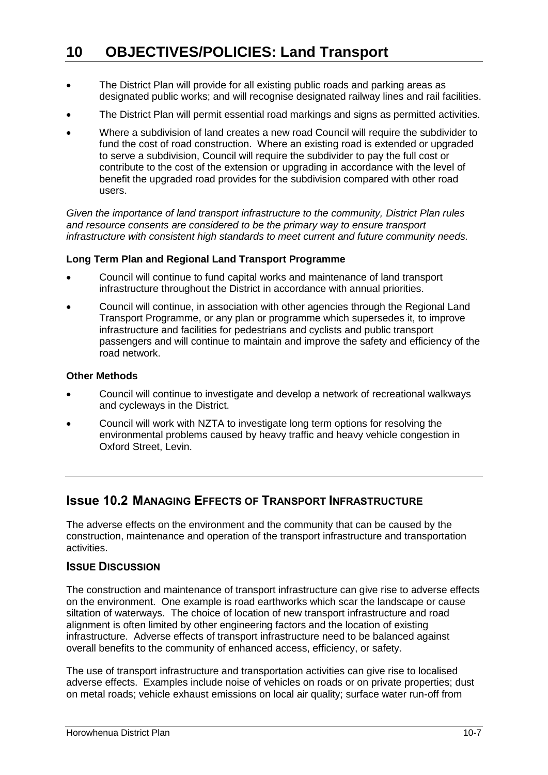- The District Plan will provide for all existing public roads and parking areas as designated public works; and will recognise designated railway lines and rail facilities.
- The District Plan will permit essential road markings and signs as permitted activities.
- Where a subdivision of land creates a new road Council will require the subdivider to fund the cost of road construction. Where an existing road is extended or upgraded to serve a subdivision, Council will require the subdivider to pay the full cost or contribute to the cost of the extension or upgrading in accordance with the level of benefit the upgraded road provides for the subdivision compared with other road users.

*Given the importance of land transport infrastructure to the community, District Plan rules and resource consents are considered to be the primary way to ensure transport infrastructure with consistent high standards to meet current and future community needs.*

#### **Long Term Plan and Regional Land Transport Programme**

- Council will continue to fund capital works and maintenance of land transport infrastructure throughout the District in accordance with annual priorities.
- Council will continue, in association with other agencies through the Regional Land Transport Programme, or any plan or programme which supersedes it, to improve infrastructure and facilities for pedestrians and cyclists and public transport passengers and will continue to maintain and improve the safety and efficiency of the road network.

#### **Other Methods**

- Council will continue to investigate and develop a network of recreational walkways and cycleways in the District.
- Council will work with NZTA to investigate long term options for resolving the environmental problems caused by heavy traffic and heavy vehicle congestion in Oxford Street, Levin.

## **Issue 10.2 MANAGING EFFECTS OF TRANSPORT INFRASTRUCTURE**

The adverse effects on the environment and the community that can be caused by the construction, maintenance and operation of the transport infrastructure and transportation activities.

#### **ISSUE DISCUSSION**

The construction and maintenance of transport infrastructure can give rise to adverse effects on the environment. One example is road earthworks which scar the landscape or cause siltation of waterways. The choice of location of new transport infrastructure and road alignment is often limited by other engineering factors and the location of existing infrastructure. Adverse effects of transport infrastructure need to be balanced against overall benefits to the community of enhanced access, efficiency, or safety.

The use of transport infrastructure and transportation activities can give rise to localised adverse effects. Examples include noise of vehicles on roads or on private properties; dust on metal roads; vehicle exhaust emissions on local air quality; surface water run-off from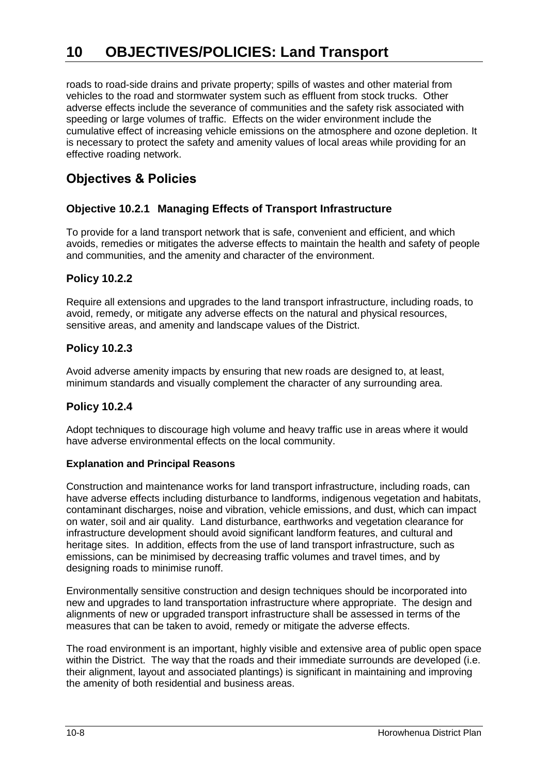roads to road-side drains and private property; spills of wastes and other material from vehicles to the road and stormwater system such as effluent from stock trucks. Other adverse effects include the severance of communities and the safety risk associated with speeding or large volumes of traffic. Effects on the wider environment include the cumulative effect of increasing vehicle emissions on the atmosphere and ozone depletion. It is necessary to protect the safety and amenity values of local areas while providing for an effective roading network.

## **Objectives & Policies**

#### **Objective 10.2.1 Managing Effects of Transport Infrastructure**

To provide for a land transport network that is safe, convenient and efficient, and which avoids, remedies or mitigates the adverse effects to maintain the health and safety of people and communities, and the amenity and character of the environment.

#### **Policy 10.2.2**

Require all extensions and upgrades to the land transport infrastructure, including roads, to avoid, remedy, or mitigate any adverse effects on the natural and physical resources, sensitive areas, and amenity and landscape values of the District.

#### **Policy 10.2.3**

Avoid adverse amenity impacts by ensuring that new roads are designed to, at least, minimum standards and visually complement the character of any surrounding area.

#### **Policy 10.2.4**

Adopt techniques to discourage high volume and heavy traffic use in areas where it would have adverse environmental effects on the local community.

#### **Explanation and Principal Reasons**

Construction and maintenance works for land transport infrastructure, including roads, can have adverse effects including disturbance to landforms, indigenous vegetation and habitats, contaminant discharges, noise and vibration, vehicle emissions, and dust, which can impact on water, soil and air quality. Land disturbance, earthworks and vegetation clearance for infrastructure development should avoid significant landform features, and cultural and heritage sites. In addition, effects from the use of land transport infrastructure, such as emissions, can be minimised by decreasing traffic volumes and travel times, and by designing roads to minimise runoff.

Environmentally sensitive construction and design techniques should be incorporated into new and upgrades to land transportation infrastructure where appropriate. The design and alignments of new or upgraded transport infrastructure shall be assessed in terms of the measures that can be taken to avoid, remedy or mitigate the adverse effects.

The road environment is an important, highly visible and extensive area of public open space within the District. The way that the roads and their immediate surrounds are developed (i.e. their alignment, layout and associated plantings) is significant in maintaining and improving the amenity of both residential and business areas.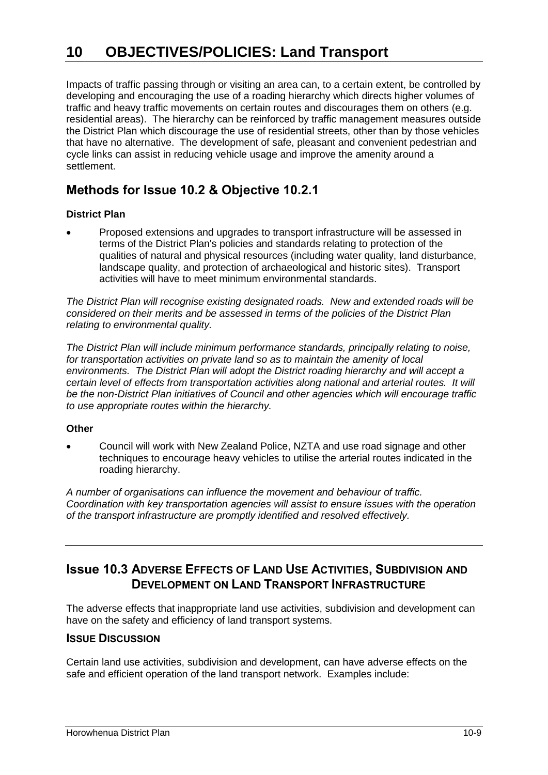Impacts of traffic passing through or visiting an area can, to a certain extent, be controlled by developing and encouraging the use of a roading hierarchy which directs higher volumes of traffic and heavy traffic movements on certain routes and discourages them on others (e.g. residential areas). The hierarchy can be reinforced by traffic management measures outside the District Plan which discourage the use of residential streets, other than by those vehicles that have no alternative. The development of safe, pleasant and convenient pedestrian and cycle links can assist in reducing vehicle usage and improve the amenity around a settlement.

## **Methods for Issue 10.2 & Objective 10.2.1**

#### **District Plan**

 Proposed extensions and upgrades to transport infrastructure will be assessed in terms of the District Plan's policies and standards relating to protection of the qualities of natural and physical resources (including water quality, land disturbance, landscape quality, and protection of archaeological and historic sites). Transport activities will have to meet minimum environmental standards.

*The District Plan will recognise existing designated roads. New and extended roads will be considered on their merits and be assessed in terms of the policies of the District Plan relating to environmental quality.* 

*The District Plan will include minimum performance standards, principally relating to noise, for transportation activities on private land so as to maintain the amenity of local environments. The District Plan will adopt the District roading hierarchy and will accept a certain level of effects from transportation activities along national and arterial routes. It will be the non-District Plan initiatives of Council and other agencies which will encourage traffic to use appropriate routes within the hierarchy.*

#### **Other**

 Council will work with New Zealand Police, NZTA and use road signage and other techniques to encourage heavy vehicles to utilise the arterial routes indicated in the roading hierarchy.

*A number of organisations can influence the movement and behaviour of traffic. Coordination with key transportation agencies will assist to ensure issues with the operation of the transport infrastructure are promptly identified and resolved effectively.*

## **ISSUE 10.3 ADVERSE EFFECTS OF LAND USE ACTIVITIES, SUBDIVISION AND DEVELOPMENT ON LAND TRANSPORT INFRASTRUCTURE**

The adverse effects that inappropriate land use activities, subdivision and development can have on the safety and efficiency of land transport systems.

#### **ISSUE DISCUSSION**

Certain land use activities, subdivision and development, can have adverse effects on the safe and efficient operation of the land transport network. Examples include: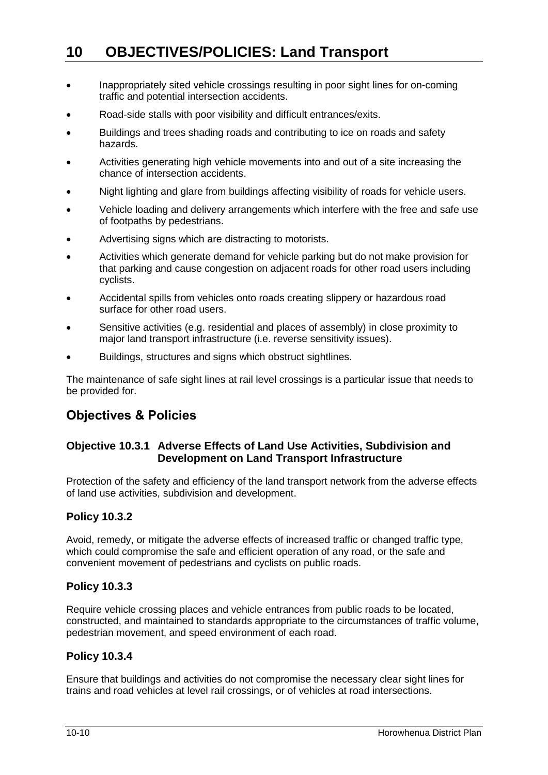- Inappropriately sited vehicle crossings resulting in poor sight lines for on-coming traffic and potential intersection accidents.
- Road-side stalls with poor visibility and difficult entrances/exits.
- Buildings and trees shading roads and contributing to ice on roads and safety hazards.
- Activities generating high vehicle movements into and out of a site increasing the chance of intersection accidents.
- Night lighting and glare from buildings affecting visibility of roads for vehicle users.
- Vehicle loading and delivery arrangements which interfere with the free and safe use of footpaths by pedestrians.
- Advertising signs which are distracting to motorists.
- Activities which generate demand for vehicle parking but do not make provision for that parking and cause congestion on adjacent roads for other road users including cyclists.
- Accidental spills from vehicles onto roads creating slippery or hazardous road surface for other road users.
- Sensitive activities (e.g. residential and places of assembly) in close proximity to major land transport infrastructure (i.e. reverse sensitivity issues).
- Buildings, structures and signs which obstruct sightlines.

The maintenance of safe sight lines at rail level crossings is a particular issue that needs to be provided for.

## **Objectives & Policies**

#### **Objective 10.3.1 Adverse Effects of Land Use Activities, Subdivision and Development on Land Transport Infrastructure**

Protection of the safety and efficiency of the land transport network from the adverse effects of land use activities, subdivision and development.

#### **Policy 10.3.2**

Avoid, remedy, or mitigate the adverse effects of increased traffic or changed traffic type, which could compromise the safe and efficient operation of any road, or the safe and convenient movement of pedestrians and cyclists on public roads.

#### **Policy 10.3.3**

Require vehicle crossing places and vehicle entrances from public roads to be located, constructed, and maintained to standards appropriate to the circumstances of traffic volume, pedestrian movement, and speed environment of each road.

#### **Policy 10.3.4**

Ensure that buildings and activities do not compromise the necessary clear sight lines for trains and road vehicles at level rail crossings, or of vehicles at road intersections.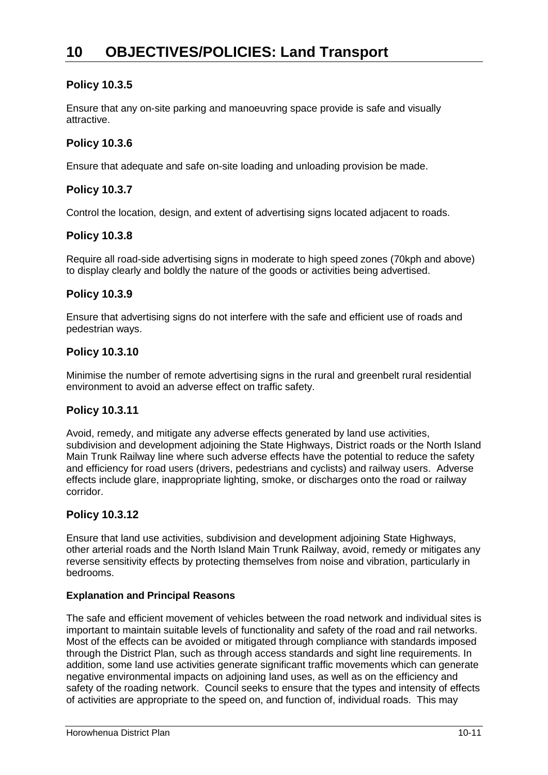#### **Policy 10.3.5**

Ensure that any on-site parking and manoeuvring space provide is safe and visually attractive.

#### **Policy 10.3.6**

Ensure that adequate and safe on-site loading and unloading provision be made.

#### **Policy 10.3.7**

Control the location, design, and extent of advertising signs located adjacent to roads.

#### **Policy 10.3.8**

Require all road-side advertising signs in moderate to high speed zones (70kph and above) to display clearly and boldly the nature of the goods or activities being advertised.

#### **Policy 10.3.9**

Ensure that advertising signs do not interfere with the safe and efficient use of roads and pedestrian ways.

#### **Policy 10.3.10**

Minimise the number of remote advertising signs in the rural and greenbelt rural residential environment to avoid an adverse effect on traffic safety.

#### **Policy 10.3.11**

Avoid, remedy, and mitigate any adverse effects generated by land use activities, subdivision and development adjoining the State Highways, District roads or the North Island Main Trunk Railway line where such adverse effects have the potential to reduce the safety and efficiency for road users (drivers, pedestrians and cyclists) and railway users. Adverse effects include glare, inappropriate lighting, smoke, or discharges onto the road or railway corridor.

#### **Policy 10.3.12**

Ensure that land use activities, subdivision and development adjoining State Highways, other arterial roads and the North Island Main Trunk Railway, avoid, remedy or mitigates any reverse sensitivity effects by protecting themselves from noise and vibration, particularly in bedrooms.

#### **Explanation and Principal Reasons**

The safe and efficient movement of vehicles between the road network and individual sites is important to maintain suitable levels of functionality and safety of the road and rail networks. Most of the effects can be avoided or mitigated through compliance with standards imposed through the District Plan, such as through access standards and sight line requirements. In addition, some land use activities generate significant traffic movements which can generate negative environmental impacts on adjoining land uses, as well as on the efficiency and safety of the roading network. Council seeks to ensure that the types and intensity of effects of activities are appropriate to the speed on, and function of, individual roads. This may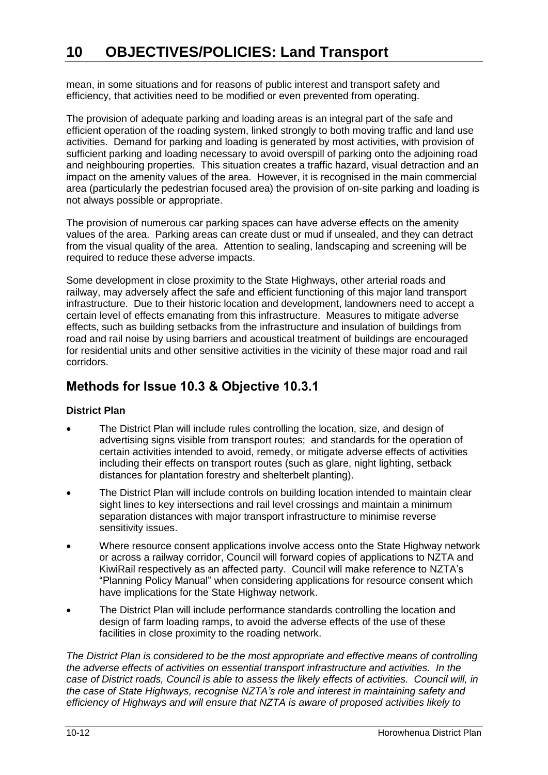mean, in some situations and for reasons of public interest and transport safety and efficiency, that activities need to be modified or even prevented from operating.

The provision of adequate parking and loading areas is an integral part of the safe and efficient operation of the roading system, linked strongly to both moving traffic and land use activities. Demand for parking and loading is generated by most activities, with provision of sufficient parking and loading necessary to avoid overspill of parking onto the adjoining road and neighbouring properties. This situation creates a traffic hazard, visual detraction and an impact on the amenity values of the area. However, it is recognised in the main commercial area (particularly the pedestrian focused area) the provision of on-site parking and loading is not always possible or appropriate.

The provision of numerous car parking spaces can have adverse effects on the amenity values of the area. Parking areas can create dust or mud if unsealed, and they can detract from the visual quality of the area. Attention to sealing, landscaping and screening will be required to reduce these adverse impacts.

Some development in close proximity to the State Highways, other arterial roads and railway, may adversely affect the safe and efficient functioning of this major land transport infrastructure. Due to their historic location and development, landowners need to accept a certain level of effects emanating from this infrastructure. Measures to mitigate adverse effects, such as building setbacks from the infrastructure and insulation of buildings from road and rail noise by using barriers and acoustical treatment of buildings are encouraged for residential units and other sensitive activities in the vicinity of these major road and rail corridors.

## **Methods for Issue 10.3 & Objective 10.3.1**

#### **District Plan**

- The District Plan will include rules controlling the location, size, and design of advertising signs visible from transport routes; and standards for the operation of certain activities intended to avoid, remedy, or mitigate adverse effects of activities including their effects on transport routes (such as glare, night lighting, setback distances for plantation forestry and shelterbelt planting).
- The District Plan will include controls on building location intended to maintain clear sight lines to key intersections and rail level crossings and maintain a minimum separation distances with major transport infrastructure to minimise reverse sensitivity issues.
- Where resource consent applications involve access onto the State Highway network or across a railway corridor, Council will forward copies of applications to NZTA and KiwiRail respectively as an affected party. Council will make reference to NZTA's "Planning Policy Manual" when considering applications for resource consent which have implications for the State Highway network.
- The District Plan will include performance standards controlling the location and design of farm loading ramps, to avoid the adverse effects of the use of these facilities in close proximity to the roading network.

*The District Plan is considered to be the most appropriate and effective means of controlling the adverse effects of activities on essential transport infrastructure and activities. In the case of District roads, Council is able to assess the likely effects of activities. Council will, in the case of State Highways, recognise NZTA's role and interest in maintaining safety and efficiency of Highways and will ensure that NZTA is aware of proposed activities likely to*